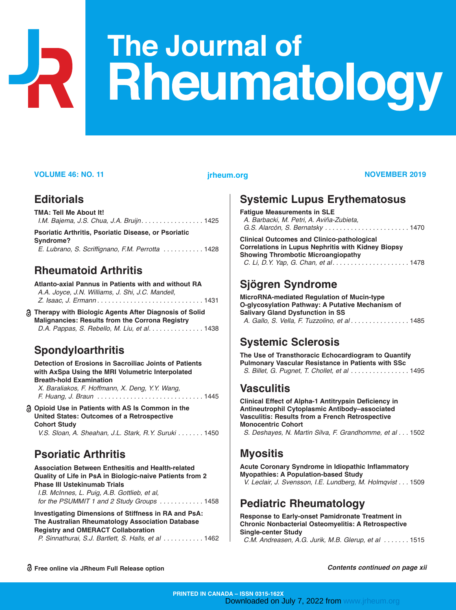# The Journal of **Rheumatology**

#### **VOLUME 46: NO. 11 THEUM.org COLUME 46: NOVEMBER 2019**

#### **Editorials**

| TMA: Tell Me About It!                                      |  |
|-------------------------------------------------------------|--|
| I.M. Baiema, J.S. Chua, J.A. Bruijn 1425                    |  |
| <b>Psoriatic Arthritis, Psoriatic Disease, or Psoriatic</b> |  |

| Syndrome? |                                                  |  |
|-----------|--------------------------------------------------|--|
|           | E. Lubrano, S. Scriffignano, F.M. Perrotta  1428 |  |

## **Rheumatoid Arthritis**

| Atlanto-axial Pannus in Patients with and without RA |
|------------------------------------------------------|
| A.A. Joyce, J.N. Williams, J. Shi, J.C. Mandell,     |
|                                                      |

**Therapy with Biologic Agents After Diagnosis of Solid Malignancies: Results from the Corrona Registry** *D.A. Pappas, S. Rebello, M. Liu, et al*. . . . . . . . . . . . . . . 1438

## **Spondyloarthritis**

**Detection of Erosions in Sacroiliac Joints of Patients with AxSpa Using the MRI Volumetric Interpolated Breath-hold Examination**

*X. Baraliakos, F. Hoffmann, X. Deng, Y.Y. Wang, F. Huang, J. Braun . . . . . . . . . . . . . . . . . . . . . . . . . . . . .* 1445

#### **Opioid Use in Patients with AS Is Common in the United States: Outcomes of a Retrospective Cohort Study**

*V.S. Sloan, A. Sheahan, J.L. Stark, R.Y. Suruki . . . . . . .* 1450

#### **Psoriatic Arthritis**

**Association Between Enthesitis and Health-related Quality of Life in PsA in Biologic-naive Patients from 2 Phase III Ustekinumab Trials**

*I.B. McInnes, L. Puig, A.B. Gottlieb, et al, for the PSUMMIT 1 and 2 Study Groups . . . . . . . . . . . .* 1458

**Investigating Dimensions of Stiffness in RA and PsA: The Australian Rheumatology Association Database Registry and OMERACT Collaboration**

|  |  |  |  |  |  |  | P. Sinnathurai, S.J. Bartlett, S. Halls, et al 1462 |  |
|--|--|--|--|--|--|--|-----------------------------------------------------|--|
|--|--|--|--|--|--|--|-----------------------------------------------------|--|

# **Systemic Lupus Erythematosus**

**Fatigue Measurements in SLE** *A. Barbacki, M. Petri, A. Aviña-Zubieta, G.S. Alarcón, S. Bernatsky . . . . . . . . . . . . . . . . . . . . . . .* 1470

**Clinical Outcomes and Clinico-pathological Correlations in Lupus Nephritis with Kidney Biopsy Showing Thrombotic Microangiopathy**  *C. Li, D.Y. Yap, G. Chan, et al. . . . . . . . . . . . . . . . . . . . .* 1478

#### **Sjögren Syndrome**

**MicroRNA-mediated Regulation of Mucin-type O-glycosylation Pathway: A Putative Mechanism of Salivary Gland Dysfunction in SS** *A. Gallo, S. Vella, F. Tuzzolino, et al . . . . . . . . . . . . . . . .* 1485

#### **Systemic Sclerosis**

**The Use of Transthoracic Echocardiogram to Quantify Pulmonary Vascular Resistance in Patients with SSc** *S. Billet, G. Pugnet, T. Chollet, et al . . . . . . . . . . . . . . . .* 1495

#### **Vasculitis**

**Clinical Effect of Alpha-1 Antitrypsin Deficiency in Antineutrophil Cytoplasmic Antibody–associated Vasculitis: Results from a French Retrospective Monocentric Cohort** *S. Deshayes, N. Martin Silva, F. Grandhomme, et al . . .* 1502

#### **Myositis**

**Acute Coronary Syndrome in Idiopathic Inflammatory Myopathies: A Population-based Study** *V. Leclair, J. Svensson, I.E. Lundberg, M. Holmqvist . . .* 1509

#### **Pediatric Rheumatology**

**Response to Early-onset Pamidronate Treatment in Chronic Nonbacterial Osteomyelitis: A Retrospective Single-center Study**

*C.M. Andreasen, A.G. Jurik, M.B. Glerup, et al . . . . . . .* 1515

**Free online via JRheum Full Release option**

*Contents continued on page xii*